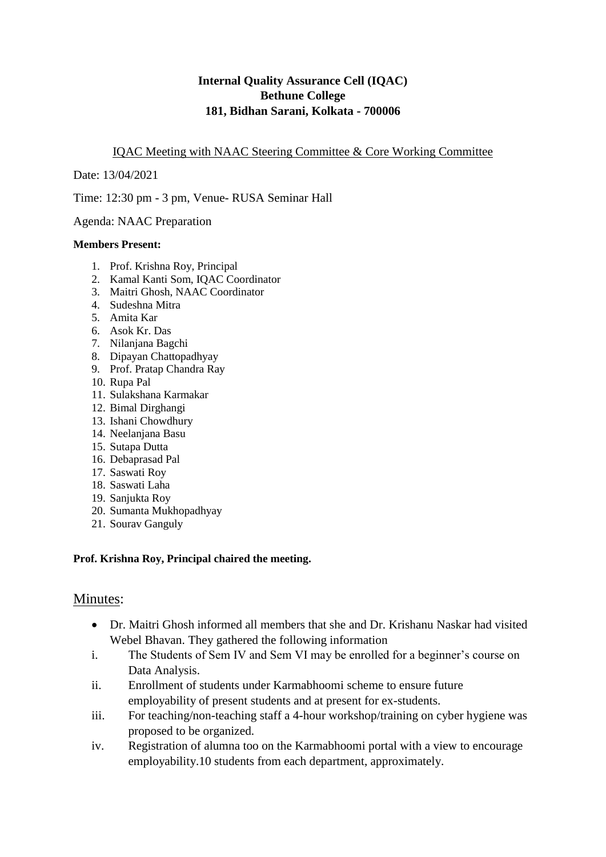# **Internal Quality Assurance Cell (IQAC) Bethune College 181, Bidhan Sarani, Kolkata - 700006**

### IQAC Meeting with NAAC Steering Committee & Core Working Committee

Date: 13/04/2021

Time: 12:30 pm - 3 pm, Venue- RUSA Seminar Hall

Agenda: NAAC Preparation

#### **Members Present:**

- 1. Prof. Krishna Roy, Principal
- 2. Kamal Kanti Som, IQAC Coordinator
- 3. Maitri Ghosh, NAAC Coordinator
- 4. Sudeshna Mitra
- 5. Amita Kar
- 6. Asok Kr. Das
- 7. Nilanjana Bagchi
- 8. Dipayan Chattopadhyay
- 9. Prof. Pratap Chandra Ray
- 10. Rupa Pal
- 11. Sulakshana Karmakar
- 12. Bimal Dirghangi
- 13. Ishani Chowdhury
- 14. Neelanjana Basu
- 15. Sutapa Dutta
- 16. Debaprasad Pal
- 17. Saswati Roy
- 18. Saswati Laha
- 19. Sanjukta Roy
- 20. Sumanta Mukhopadhyay
- 21. Sourav Ganguly

### **Prof. Krishna Roy, Principal chaired the meeting.**

# Minutes:

- Dr. Maitri Ghosh informed all members that she and Dr. Krishanu Naskar had visited Webel Bhavan. They gathered the following information
- i. The Students of Sem IV and Sem VI may be enrolled for a beginner's course on Data Analysis.
- ii. Enrollment of students under Karmabhoomi scheme to ensure future employability of present students and at present for ex-students.
- iii. For teaching/non-teaching staff a 4-hour workshop/training on cyber hygiene was proposed to be organized.
- iv. Registration of alumna too on the Karmabhoomi portal with a view to encourage employability.10 students from each department, approximately.